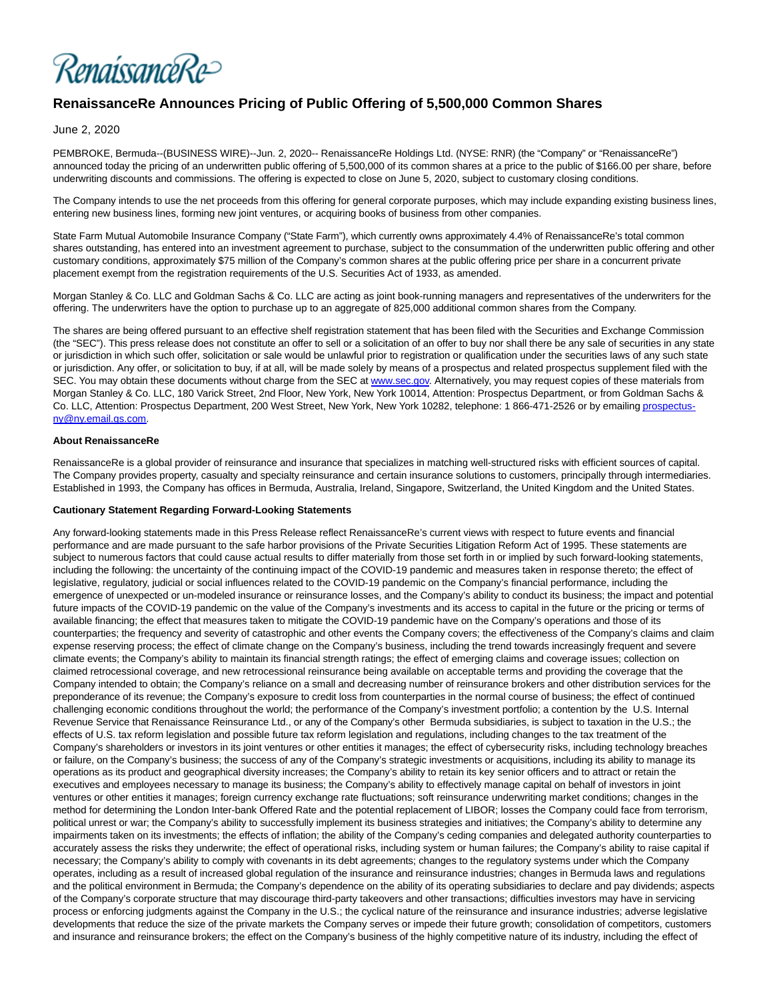

# **RenaissanceRe Announces Pricing of Public Offering of 5,500,000 Common Shares**

## June 2, 2020

PEMBROKE, Bermuda--(BUSINESS WIRE)--Jun. 2, 2020-- RenaissanceRe Holdings Ltd. (NYSE: RNR) (the "Company" or "RenaissanceRe") announced today the pricing of an underwritten public offering of 5,500,000 of its common shares at a price to the public of \$166.00 per share, before underwriting discounts and commissions. The offering is expected to close on June 5, 2020, subject to customary closing conditions.

The Company intends to use the net proceeds from this offering for general corporate purposes, which may include expanding existing business lines, entering new business lines, forming new joint ventures, or acquiring books of business from other companies.

State Farm Mutual Automobile Insurance Company ("State Farm"), which currently owns approximately 4.4% of RenaissanceRe's total common shares outstanding, has entered into an investment agreement to purchase, subject to the consummation of the underwritten public offering and other customary conditions, approximately \$75 million of the Company's common shares at the public offering price per share in a concurrent private placement exempt from the registration requirements of the U.S. Securities Act of 1933, as amended.

Morgan Stanley & Co. LLC and Goldman Sachs & Co. LLC are acting as joint book-running managers and representatives of the underwriters for the offering. The underwriters have the option to purchase up to an aggregate of 825,000 additional common shares from the Company.

The shares are being offered pursuant to an effective shelf registration statement that has been filed with the Securities and Exchange Commission (the "SEC"). This press release does not constitute an offer to sell or a solicitation of an offer to buy nor shall there be any sale of securities in any state or jurisdiction in which such offer, solicitation or sale would be unlawful prior to registration or qualification under the securities laws of any such state or jurisdiction. Any offer, or solicitation to buy, if at all, will be made solely by means of a prospectus and related prospectus supplement filed with the SEC. You may obtain these documents without charge from the SEC at [www.sec.gov.](https://cts.businesswire.com/ct/CT?id=smartlink&url=http%3A%2F%2Fwww.sec.gov&esheet=52229657&newsitemid=20200602005988&lan=en-US&anchor=www.sec.gov&index=1&md5=441088bad7c3181d3117b5c9083eb7da) Alternatively, you may request copies of these materials from Morgan Stanley & Co. LLC, 180 Varick Street, 2nd Floor, New York, New York 10014, Attention: Prospectus Department, or from Goldman Sachs & Co. LLC, Attention: Prospectus Department, 200 West Street, New York, New York 10282, telephone: 1 866-471-2526 or by emailin[g prospectus](mailto:prospectus-ny@ny.email.gs.com)ny@ny.email.gs.com.

### **About RenaissanceRe**

RenaissanceRe is a global provider of reinsurance and insurance that specializes in matching well-structured risks with efficient sources of capital. The Company provides property, casualty and specialty reinsurance and certain insurance solutions to customers, principally through intermediaries. Established in 1993, the Company has offices in Bermuda, Australia, Ireland, Singapore, Switzerland, the United Kingdom and the United States.

## **Cautionary Statement Regarding Forward-Looking Statements**

Any forward-looking statements made in this Press Release reflect RenaissanceRe's current views with respect to future events and financial performance and are made pursuant to the safe harbor provisions of the Private Securities Litigation Reform Act of 1995. These statements are subject to numerous factors that could cause actual results to differ materially from those set forth in or implied by such forward-looking statements, including the following: the uncertainty of the continuing impact of the COVID-19 pandemic and measures taken in response thereto; the effect of legislative, regulatory, judicial or social influences related to the COVID-19 pandemic on the Company's financial performance, including the emergence of unexpected or un-modeled insurance or reinsurance losses, and the Company's ability to conduct its business; the impact and potential future impacts of the COVID-19 pandemic on the value of the Company's investments and its access to capital in the future or the pricing or terms of available financing; the effect that measures taken to mitigate the COVID-19 pandemic have on the Company's operations and those of its counterparties; the frequency and severity of catastrophic and other events the Company covers; the effectiveness of the Company's claims and claim expense reserving process; the effect of climate change on the Company's business, including the trend towards increasingly frequent and severe climate events; the Company's ability to maintain its financial strength ratings; the effect of emerging claims and coverage issues; collection on claimed retrocessional coverage, and new retrocessional reinsurance being available on acceptable terms and providing the coverage that the Company intended to obtain; the Company's reliance on a small and decreasing number of reinsurance brokers and other distribution services for the preponderance of its revenue; the Company's exposure to credit loss from counterparties in the normal course of business; the effect of continued challenging economic conditions throughout the world; the performance of the Company's investment portfolio; a contention by the U.S. Internal Revenue Service that Renaissance Reinsurance Ltd., or any of the Company's other Bermuda subsidiaries, is subject to taxation in the U.S.; the effects of U.S. tax reform legislation and possible future tax reform legislation and regulations, including changes to the tax treatment of the Company's shareholders or investors in its joint ventures or other entities it manages; the effect of cybersecurity risks, including technology breaches or failure, on the Company's business; the success of any of the Company's strategic investments or acquisitions, including its ability to manage its operations as its product and geographical diversity increases; the Company's ability to retain its key senior officers and to attract or retain the executives and employees necessary to manage its business; the Company's ability to effectively manage capital on behalf of investors in joint ventures or other entities it manages; foreign currency exchange rate fluctuations; soft reinsurance underwriting market conditions; changes in the method for determining the London Inter-bank Offered Rate and the potential replacement of LIBOR; losses the Company could face from terrorism, political unrest or war; the Company's ability to successfully implement its business strategies and initiatives; the Company's ability to determine any impairments taken on its investments; the effects of inflation; the ability of the Company's ceding companies and delegated authority counterparties to accurately assess the risks they underwrite; the effect of operational risks, including system or human failures; the Company's ability to raise capital if necessary; the Company's ability to comply with covenants in its debt agreements; changes to the regulatory systems under which the Company operates, including as a result of increased global regulation of the insurance and reinsurance industries; changes in Bermuda laws and regulations and the political environment in Bermuda; the Company's dependence on the ability of its operating subsidiaries to declare and pay dividends; aspects of the Company's corporate structure that may discourage third-party takeovers and other transactions; difficulties investors may have in servicing process or enforcing judgments against the Company in the U.S.; the cyclical nature of the reinsurance and insurance industries; adverse legislative developments that reduce the size of the private markets the Company serves or impede their future growth; consolidation of competitors, customers and insurance and reinsurance brokers; the effect on the Company's business of the highly competitive nature of its industry, including the effect of